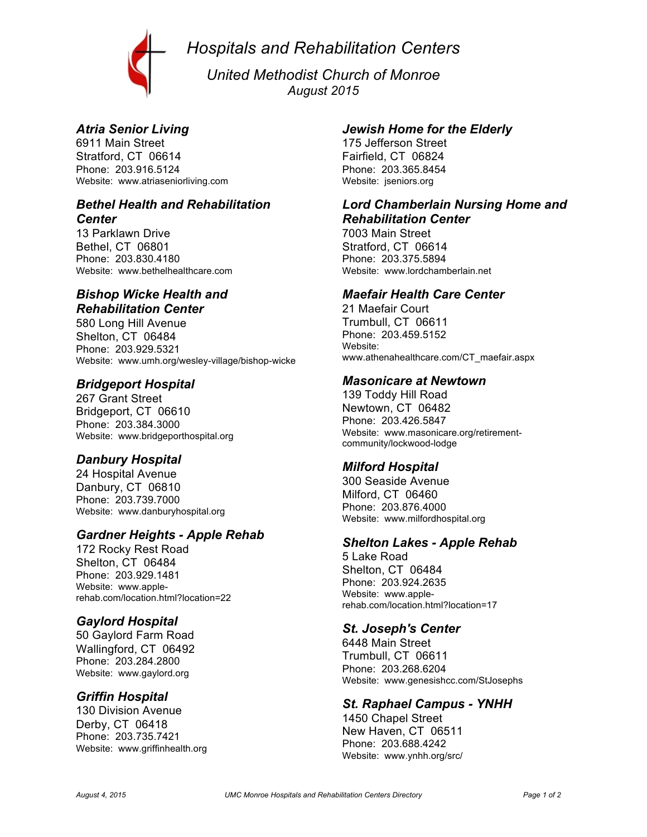*Hospitals and Rehabilitation Centers*



*United Methodist Church of Monroe August 2015*

# *Atria Senior Living*

6911 Main Street Stratford, CT 06614 Phone: 203.916.5124 Website: www.atriaseniorliving.com

#### *Bethel Health and Rehabilitation Center*

13 Parklawn Drive Bethel, CT 06801 Phone: 203.830.4180 Website: www.bethelhealthcare.com

#### *Bishop Wicke Health and Rehabilitation Center*

580 Long Hill Avenue Shelton, CT 06484 Phone: 203.929.5321 Website: www.umh.org/wesley-village/bishop-wicke

### *Bridgeport Hospital*

267 Grant Street Bridgeport, CT 06610 Phone: 203.384.3000 Website: www.bridgeporthospital.org

# *Danbury Hospital*

24 Hospital Avenue Danbury, CT 06810 Phone: 203.739.7000 Website: www.danburyhospital.org

# *Gardner Heights - Apple Rehab*

172 Rocky Rest Road Shelton, CT 06484 Phone: 203.929.1481 Website: www.applerehab.com/location.html?location=22

# *Gaylord Hospital*

50 Gaylord Farm Road Wallingford, CT 06492 Phone: 203.284.2800 Website: www.gaylord.org

## *Griffin Hospital*

130 Division Avenue Derby, CT 06418 Phone: 203.735.7421 Website: www.griffinhealth.org

### *Jewish Home for the Elderly*

175 Jefferson Street Fairfield, CT 06824 Phone: 203.365.8454 Website: jseniors.org

# *Lord Chamberlain Nursing Home and Rehabilitation Center*

7003 Main Street Stratford, CT 06614 Phone: 203.375.5894 Website: www.lordchamberlain.net

### *Maefair Health Care Center*

21 Maefair Court Trumbull, CT 06611 Phone: 203.459.5152 Website: www.athenahealthcare.com/CT\_maefair.aspx

#### *Masonicare at Newtown*

139 Toddy Hill Road Newtown, CT 06482 Phone: 203.426.5847 Website: www.masonicare.org/retirementcommunity/lockwood-lodge

## *Milford Hospital*

300 Seaside Avenue Milford, CT 06460 Phone: 203.876.4000 Website: www.milfordhospital.org

#### *Shelton Lakes - Apple Rehab*

5 Lake Road Shelton, CT 06484 Phone: 203.924.2635 Website: www.applerehab.com/location.html?location=17

#### *St. Joseph's Center*

6448 Main Street Trumbull, CT 06611 Phone: 203.268.6204 Website: www.genesishcc.com/StJosephs

## *St. Raphael Campus - YNHH*

1450 Chapel Street New Haven, CT 06511 Phone: 203.688.4242 Website: www.ynhh.org/src/